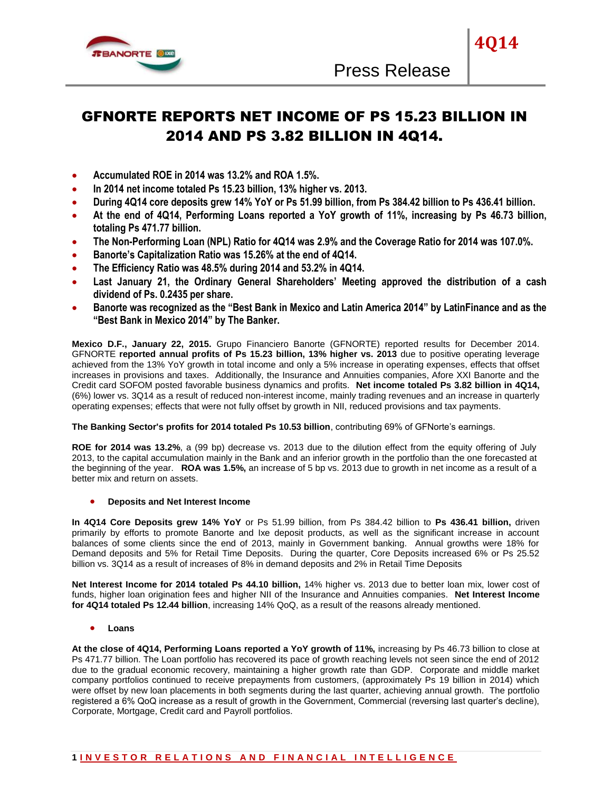

# GFNORTE REPORTS NET INCOME OF PS 15.23 BILLION IN 2014 AND PS 3.82 BILLION IN 4Q14.

- **Accumulated ROE in 2014 was 13.2% and ROA 1.5%.**
- **In 2014 net income totaled Ps 15.23 billion, 13% higher vs. 2013.**
- **During 4Q14 core deposits grew 14% YoY or Ps 51.99 billion, from Ps 384.42 billion to Ps 436.41 billion.**
- **At the end of 4Q14, Performing Loans reported a YoY growth of 11%, increasing by Ps 46.73 billion, totaling Ps 471.77 billion.**
- **The Non-Performing Loan (NPL) Ratio for 4Q14 was 2.9% and the Coverage Ratio for 2014 was 107.0%.**
- **Banorte's Capitalization Ratio was 15.26% at the end of 4Q14.**
- **The Efficiency Ratio was 48.5% during 2014 and 53.2% in 4Q14.**
- **Last January 21, the Ordinary General Shareholders' Meeting approved the distribution of a cash dividend of Ps. 0.2435 per share.**
- **Banorte was recognized as the "Best Bank in Mexico and Latin America 2014" by LatinFinance and as the "Best Bank in Mexico 2014" by The Banker.**

**Mexico D.F., January 22, 2015.** Grupo Financiero Banorte (GFNORTE) reported results for December 2014. GFNORTE **reported annual profits of Ps 15.23 billion, 13% higher vs. 2013** due to positive operating leverage achieved from the 13% YoY growth in total income and only a 5% increase in operating expenses, effects that offset increases in provisions and taxes. Additionally, the Insurance and Annuities companies, Afore XXI Banorte and the Credit card SOFOM posted favorable business dynamics and profits. **Net income totaled Ps 3.82 billion in 4Q14,** (6%) lower vs. 3Q14 as a result of reduced non-interest income, mainly trading revenues and an increase in quarterly operating expenses; effects that were not fully offset by growth in NII, reduced provisions and tax payments.

# **The Banking Sector's profits for 2014 totaled Ps 10.53 billion**, contributing 69% of GFNorte's earnings.

**ROE for 2014 was 13.2%**, a (99 bp) decrease vs. 2013 due to the dilution effect from the equity offering of July 2013, to the capital accumulation mainly in the Bank and an inferior growth in the portfolio than the one forecasted at the beginning of the year. **ROA was 1.5%,** an increase of 5 bp vs. 2013 due to growth in net income as a result of a better mix and return on assets.

# **Deposits and Net Interest Income**

**In 4Q14 Core Deposits grew 14% YoY** or Ps 51.99 billion, from Ps 384.42 billion to **Ps 436.41 billion,** driven primarily by efforts to promote Banorte and Ixe deposit products, as well as the significant increase in account balances of some clients since the end of 2013, mainly in Government banking. Annual growths were 18% for Demand deposits and 5% for Retail Time Deposits. During the quarter, Core Deposits increased 6% or Ps 25.52 billion vs. 3Q14 as a result of increases of 8% in demand deposits and 2% in Retail Time Deposits

**Net Interest Income for 2014 totaled Ps 44.10 billion,** 14% higher vs. 2013 due to better loan mix, lower cost of funds, higher loan origination fees and higher NII of the Insurance and Annuities companies. **Net Interest Income for 4Q14 totaled Ps 12.44 billion**, increasing 14% QoQ, as a result of the reasons already mentioned.

**Loans** 

**At the close of 4Q14, Performing Loans reported a YoY growth of 11%,** increasing by Ps 46.73 billion to close at Ps 471.77 billion. The Loan portfolio has recovered its pace of growth reaching levels not seen since the end of 2012 due to the gradual economic recovery, maintaining a higher growth rate than GDP. Corporate and middle market company portfolios continued to receive prepayments from customers, (approximately Ps 19 billion in 2014) which were offset by new loan placements in both segments during the last quarter, achieving annual growth. The portfolio registered a 6% QoQ increase as a result of growth in the Government, Commercial (reversing last quarter's decline), Corporate, Mortgage, Credit card and Payroll portfolios.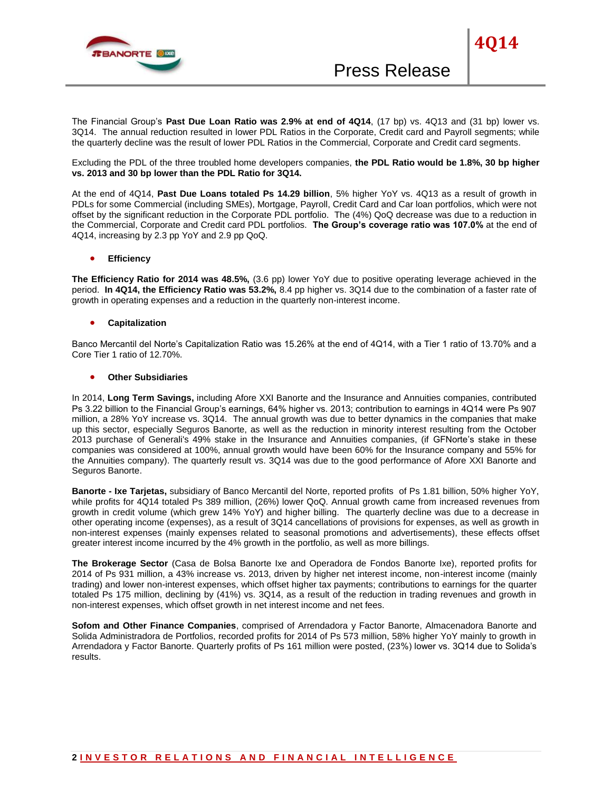

The Financial Group's **Past Due Loan Ratio was 2.9% at end of 4Q14**, (17 bp) vs. 4Q13 and (31 bp) lower vs. 3Q14. The annual reduction resulted in lower PDL Ratios in the Corporate, Credit card and Payroll segments; while the quarterly decline was the result of lower PDL Ratios in the Commercial, Corporate and Credit card segments.

Excluding the PDL of the three troubled home developers companies, **the PDL Ratio would be 1.8%, 30 bp higher vs. 2013 and 30 bp lower than the PDL Ratio for 3Q14.** 

At the end of 4Q14, **Past Due Loans totaled Ps 14.29 billion**, 5% higher YoY vs. 4Q13 as a result of growth in PDLs for some Commercial (including SMEs), Mortgage, Payroll, Credit Card and Car loan portfolios, which were not offset by the significant reduction in the Corporate PDL portfolio. The (4%) QoQ decrease was due to a reduction in the Commercial, Corporate and Credit card PDL portfolios. **The Group's coverage ratio was 107.0%** at the end of 4Q14, increasing by 2.3 pp YoY and 2.9 pp QoQ.

### **Efficiency**

**The Efficiency Ratio for 2014 was 48.5%,** (3.6 pp) lower YoY due to positive operating leverage achieved in the period. **In 4Q14, the Efficiency Ratio was 53.2%,** 8.4 pp higher vs. 3Q14 due to the combination of a faster rate of growth in operating expenses and a reduction in the quarterly non-interest income.

### **Capitalization**

Banco Mercantil del Norte's Capitalization Ratio was 15.26% at the end of 4Q14, with a Tier 1 ratio of 13.70% and a Core Tier 1 ratio of 12.70%.

### **Other Subsidiaries**

In 2014, **Long Term Savings,** including Afore XXI Banorte and the Insurance and Annuities companies, contributed Ps 3.22 billion to the Financial Group's earnings, 64% higher vs. 2013; contribution to earnings in 4Q14 were Ps 907 million, a 28% YoY increase vs. 3Q14. The annual growth was due to better dynamics in the companies that make up this sector, especially Seguros Banorte, as well as the reduction in minority interest resulting from the October 2013 purchase of Generali's 49% stake in the Insurance and Annuities companies, (if GFNorte's stake in these companies was considered at 100%, annual growth would have been 60% for the Insurance company and 55% for the Annuities company). The quarterly result vs. 3Q14 was due to the good performance of Afore XXI Banorte and Seguros Banorte.

**Banorte - Ixe Tarjetas,** subsidiary of Banco Mercantil del Norte, reported profits of Ps 1.81 billion, 50% higher YoY, while profits for 4Q14 totaled Ps 389 million, (26%) lower QoQ. Annual growth came from increased revenues from growth in credit volume (which grew 14% YoY) and higher billing. The quarterly decline was due to a decrease in other operating income (expenses), as a result of 3Q14 cancellations of provisions for expenses, as well as growth in non-interest expenses (mainly expenses related to seasonal promotions and advertisements), these effects offset greater interest income incurred by the 4% growth in the portfolio, as well as more billings.

**The Brokerage Sector** (Casa de Bolsa Banorte Ixe and Operadora de Fondos Banorte Ixe), reported profits for 2014 of Ps 931 million, a 43% increase vs. 2013, driven by higher net interest income, non-interest income (mainly trading) and lower non-interest expenses, which offset higher tax payments; contributions to earnings for the quarter totaled Ps 175 million, declining by (41%) vs. 3Q14, as a result of the reduction in trading revenues and growth in non-interest expenses, which offset growth in net interest income and net fees.

**Sofom and Other Finance Companies**, comprised of Arrendadora y Factor Banorte, Almacenadora Banorte and Solida Administradora de Portfolios, recorded profits for 2014 of Ps 573 million, 58% higher YoY mainly to growth in Arrendadora y Factor Banorte. Quarterly profits of Ps 161 million were posted, (23%) lower vs. 3Q14 due to Solida's results.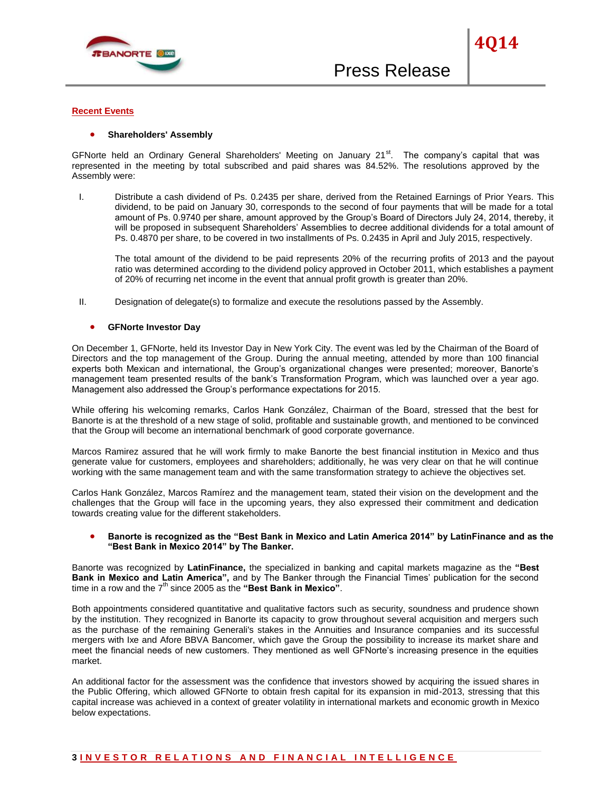

#### **Recent Events**

#### **Shareholders' Assembly**

GFNorte held an Ordinary General Shareholders' Meeting on January  $21<sup>st</sup>$ . The company's capital that was represented in the meeting by total subscribed and paid shares was 84.52%. The resolutions approved by the Assembly were:

I. Distribute a cash dividend of Ps. 0.2435 per share, derived from the Retained Earnings of Prior Years. This dividend, to be paid on January 30, corresponds to the second of four payments that will be made for a total amount of Ps. 0.9740 per share, amount approved by the Group's Board of Directors July 24, 2014, thereby, it will be proposed in subsequent Shareholders' Assemblies to decree additional dividends for a total amount of Ps. 0.4870 per share, to be covered in two installments of Ps. 0.2435 in April and July 2015, respectively.

The total amount of the dividend to be paid represents 20% of the recurring profits of 2013 and the payout ratio was determined according to the dividend policy approved in October 2011, which establishes a payment of 20% of recurring net income in the event that annual profit growth is greater than 20%.

II. Designation of delegate(s) to formalize and execute the resolutions passed by the Assembly.

#### **GFNorte Investor Day**

On December 1, GFNorte, held its Investor Day in New York City. The event was led by the Chairman of the Board of Directors and the top management of the Group. During the annual meeting, attended by more than 100 financial experts both Mexican and international, the Group's organizational changes were presented; moreover, Banorte's management team presented results of the bank's Transformation Program, which was launched over a year ago. Management also addressed the Group's performance expectations for 2015.

While offering his welcoming remarks, Carlos Hank González, Chairman of the Board, stressed that the best for Banorte is at the threshold of a new stage of solid, profitable and sustainable growth, and mentioned to be convinced that the Group will become an international benchmark of good corporate governance.

Marcos Ramirez assured that he will work firmly to make Banorte the best financial institution in Mexico and thus generate value for customers, employees and shareholders; additionally, he was very clear on that he will continue working with the same management team and with the same transformation strategy to achieve the objectives set.

Carlos Hank González, Marcos Ramírez and the management team, stated their vision on the development and the challenges that the Group will face in the upcoming years, they also expressed their commitment and dedication towards creating value for the different stakeholders.

### **Banorte is recognized as the "Best Bank in Mexico and Latin America 2014" by LatinFinance and as the "Best Bank in Mexico 2014" by The Banker.**

Banorte was recognized by **LatinFinance,** the specialized in banking and capital markets magazine as the **"Best Bank in Mexico and Latin America",** and by The Banker through the Financial Times' publication for the second time in a row and the  $7<sup>th</sup>$  since 2005 as the "Best Bank in Mexico".

Both appointments considered quantitative and qualitative factors such as security, soundness and prudence shown by the institution. They recognized in Banorte its capacity to grow throughout several acquisition and mergers such as the purchase of the remaining Generali's stakes in the Annuities and Insurance companies and its successful mergers with Ixe and Afore BBVA Bancomer, which gave the Group the possibility to increase its market share and meet the financial needs of new customers. They mentioned as well GFNorte's increasing presence in the equities market.

An additional factor for the assessment was the confidence that investors showed by acquiring the issued shares in the Public Offering, which allowed GFNorte to obtain fresh capital for its expansion in mid-2013, stressing that this capital increase was achieved in a context of greater volatility in international markets and economic growth in Mexico below expectations.